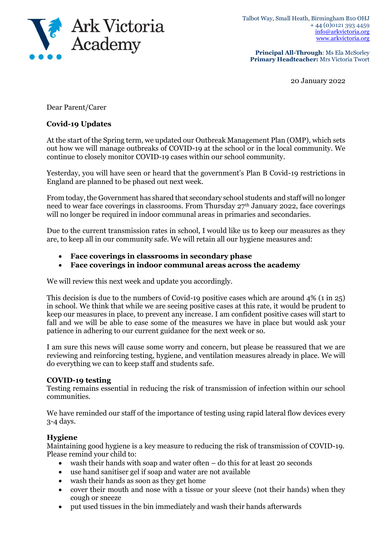

**Principal All-Through**: Ms Ela McSorley **Primary Headteacher:** Mrs Victoria Twort

20 January 2022

Dear Parent/Carer

## **Covid-19 Updates**

At the start of the Spring term, we updated our Outbreak Management Plan (OMP), which sets out how we will manage outbreaks of COVID-19 at the school or in the local community. We continue to closely monitor COVID-19 cases within our school community.

Yesterday, you will have seen or heard that the government's Plan B Covid-19 restrictions in England are planned to be phased out next week.

From today, the Government has shared that secondary school students and staff will no longer need to wear face coverings in classrooms. From Thursday 27<sup>th</sup> January 2022, face coverings will no longer be required in indoor communal areas in primaries and secondaries.

Due to the current transmission rates in school, I would like us to keep our measures as they are, to keep all in our community safe. We will retain all our hygiene measures and:

- **Face coverings in classrooms in secondary phase**
- **Face coverings in indoor communal areas across the academy**

We will review this next week and update you accordingly.

This decision is due to the numbers of Covid-19 positive cases which are around 4% (1 in 25) in school. We think that while we are seeing positive cases at this rate, it would be prudent to keep our measures in place, to prevent any increase. I am confident positive cases will start to fall and we will be able to ease some of the measures we have in place but would ask your patience in adhering to our current guidance for the next week or so.

I am sure this news will cause some worry and concern, but please be reassured that we are reviewing and reinforcing testing, hygiene, and ventilation measures already in place. We will do everything we can to keep staff and students safe.

## **COVID-19 testing**

Testing remains essential in reducing the risk of transmission of infection within our school communities.

We have reminded our staff of the importance of testing using rapid lateral flow devices every 3-4 days.

## **Hygiene**

Maintaining good hygiene is a key measure to reducing the risk of transmission of COVID-19. Please remind your child to:

- wash their hands with soap and water often do this for at least 20 seconds
- use hand sanitiser gel if soap and water are not available
- wash their hands as soon as they get home
- cover their mouth and nose with a tissue or your sleeve (not their hands) when they cough or sneeze
- put used tissues in the bin immediately and wash their hands afterwards